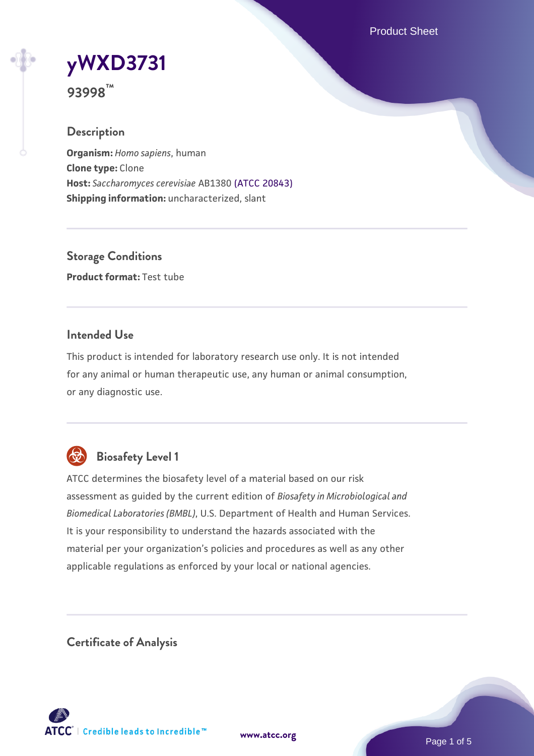Product Sheet

# **[yWXD3731](https://www.atcc.org/products/93998)**

**93998™**

## **Description**

**Organism:** *Homo sapiens*, human **Clone type:** Clone **Host:** *Saccharomyces cerevisiae* AB1380 [\(ATCC 20843\)](https://www.atcc.org/products/20843) **Shipping information:** uncharacterized, slant

**Storage Conditions Product format:** Test tube

#### **Intended Use**

This product is intended for laboratory research use only. It is not intended for any animal or human therapeutic use, any human or animal consumption, or any diagnostic use.



## **Biosafety Level 1**

ATCC determines the biosafety level of a material based on our risk assessment as guided by the current edition of *Biosafety in Microbiological and Biomedical Laboratories (BMBL)*, U.S. Department of Health and Human Services. It is your responsibility to understand the hazards associated with the material per your organization's policies and procedures as well as any other applicable regulations as enforced by your local or national agencies.

**Certificate of Analysis**

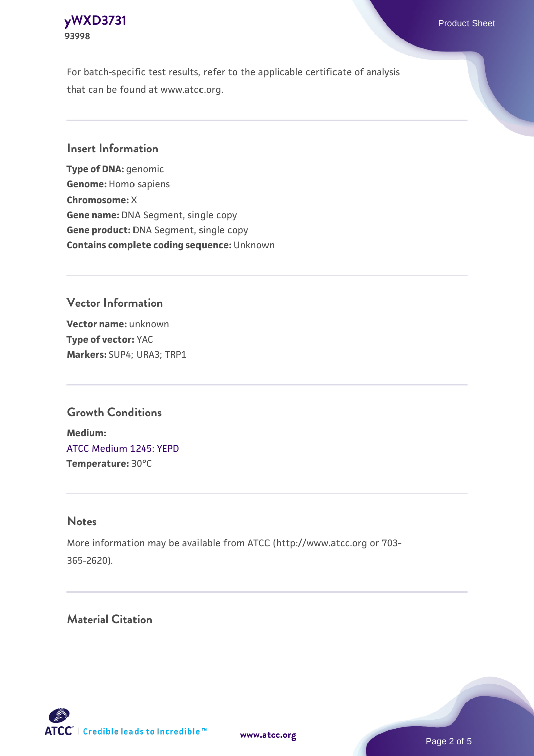#### **[yWXD3731](https://www.atcc.org/products/93998)** Product Sheet **93998**

For batch-specific test results, refer to the applicable certificate of analysis that can be found at www.atcc.org.

#### **Insert Information**

**Type of DNA:** genomic **Genome:** Homo sapiens **Chromosome:** X **Gene name:** DNA Segment, single copy **Gene product:** DNA Segment, single copy **Contains complete coding sequence:** Unknown

## **Vector Information**

**Vector name:** unknown **Type of vector:** YAC **Markers:** SUP4; URA3; TRP1

### **Growth Conditions**

**Medium:**  [ATCC Medium 1245: YEPD](https://www.atcc.org/-/media/product-assets/documents/microbial-media-formulations/1/2/4/5/atcc-medium-1245.pdf?rev=705ca55d1b6f490a808a965d5c072196) **Temperature:** 30°C

#### **Notes**

More information may be available from ATCC (http://www.atcc.org or 703- 365-2620).

## **Material Citation**

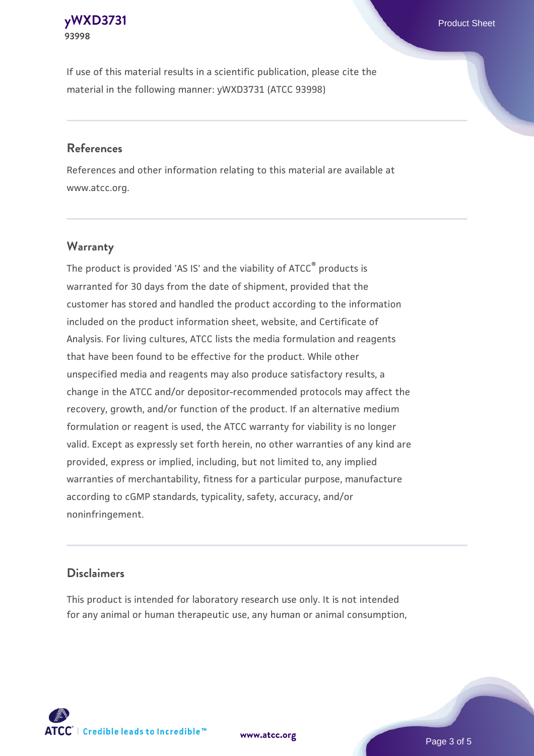#### **[yWXD3731](https://www.atcc.org/products/93998)** Product Sheet **93998**

If use of this material results in a scientific publication, please cite the material in the following manner: yWXD3731 (ATCC 93998)

#### **References**

References and other information relating to this material are available at www.atcc.org.

## **Warranty**

The product is provided 'AS IS' and the viability of  $ATCC<sup>®</sup>$  products is warranted for 30 days from the date of shipment, provided that the customer has stored and handled the product according to the information included on the product information sheet, website, and Certificate of Analysis. For living cultures, ATCC lists the media formulation and reagents that have been found to be effective for the product. While other unspecified media and reagents may also produce satisfactory results, a change in the ATCC and/or depositor-recommended protocols may affect the recovery, growth, and/or function of the product. If an alternative medium formulation or reagent is used, the ATCC warranty for viability is no longer valid. Except as expressly set forth herein, no other warranties of any kind are provided, express or implied, including, but not limited to, any implied warranties of merchantability, fitness for a particular purpose, manufacture according to cGMP standards, typicality, safety, accuracy, and/or noninfringement.

#### **Disclaimers**

This product is intended for laboratory research use only. It is not intended for any animal or human therapeutic use, any human or animal consumption,

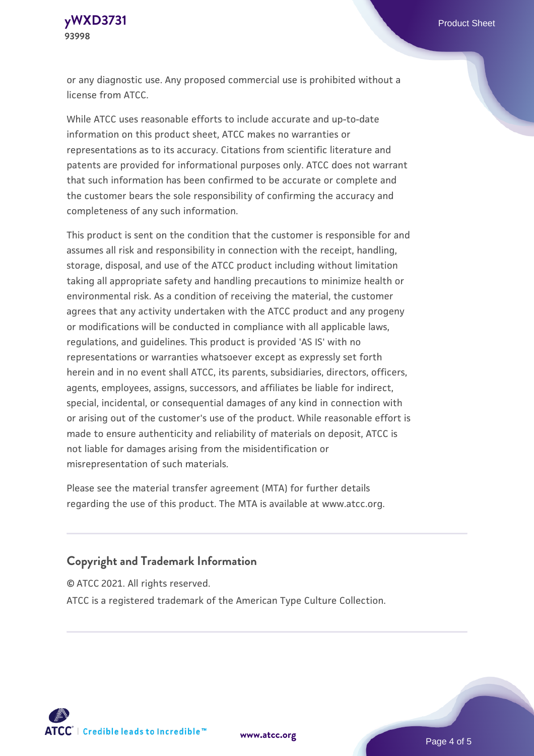

or any diagnostic use. Any proposed commercial use is prohibited without a license from ATCC.

While ATCC uses reasonable efforts to include accurate and up-to-date information on this product sheet, ATCC makes no warranties or representations as to its accuracy. Citations from scientific literature and patents are provided for informational purposes only. ATCC does not warrant that such information has been confirmed to be accurate or complete and the customer bears the sole responsibility of confirming the accuracy and completeness of any such information.

This product is sent on the condition that the customer is responsible for and assumes all risk and responsibility in connection with the receipt, handling, storage, disposal, and use of the ATCC product including without limitation taking all appropriate safety and handling precautions to minimize health or environmental risk. As a condition of receiving the material, the customer agrees that any activity undertaken with the ATCC product and any progeny or modifications will be conducted in compliance with all applicable laws, regulations, and guidelines. This product is provided 'AS IS' with no representations or warranties whatsoever except as expressly set forth herein and in no event shall ATCC, its parents, subsidiaries, directors, officers, agents, employees, assigns, successors, and affiliates be liable for indirect, special, incidental, or consequential damages of any kind in connection with or arising out of the customer's use of the product. While reasonable effort is made to ensure authenticity and reliability of materials on deposit, ATCC is not liable for damages arising from the misidentification or misrepresentation of such materials.

Please see the material transfer agreement (MTA) for further details regarding the use of this product. The MTA is available at www.atcc.org.

#### **Copyright and Trademark Information**

© ATCC 2021. All rights reserved.

ATCC is a registered trademark of the American Type Culture Collection.



**[www.atcc.org](http://www.atcc.org)**